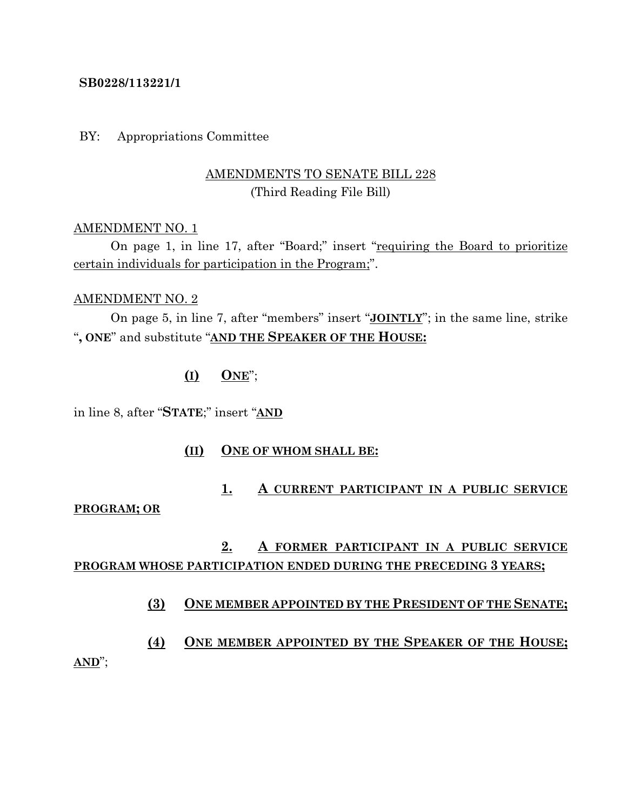#### **SB0228/113221/1**

BY: Appropriations Committee

# AMENDMENTS TO SENATE BILL 228 (Third Reading File Bill)

#### AMENDMENT NO. 1

On page 1, in line 17, after "Board;" insert "requiring the Board to prioritize certain individuals for participation in the Program;".

#### AMENDMENT NO. 2

On page 5, in line 7, after "members" insert "**JOINTLY**"; in the same line, strike "**, ONE**" and substitute "**AND THE SPEAKER OF THE HOUSE:**

## **(I) ONE**";

in line 8, after "**STATE**;" insert "**AND**

## **(II) ONE OF WHOM SHALL BE:**

# **1. A CURRENT PARTICIPANT IN A PUBLIC SERVICE**

#### **PROGRAM; OR**

# **2. A FORMER PARTICIPANT IN A PUBLIC SERVICE PROGRAM WHOSE PARTICIPATION ENDED DURING THE PRECEDING 3 YEARS;**

## **(3) ONE MEMBER APPOINTED BY THE PRESIDENT OF THE SENATE;**

**(4) ONE MEMBER APPOINTED BY THE SPEAKER OF THE HOUSE; AND**";